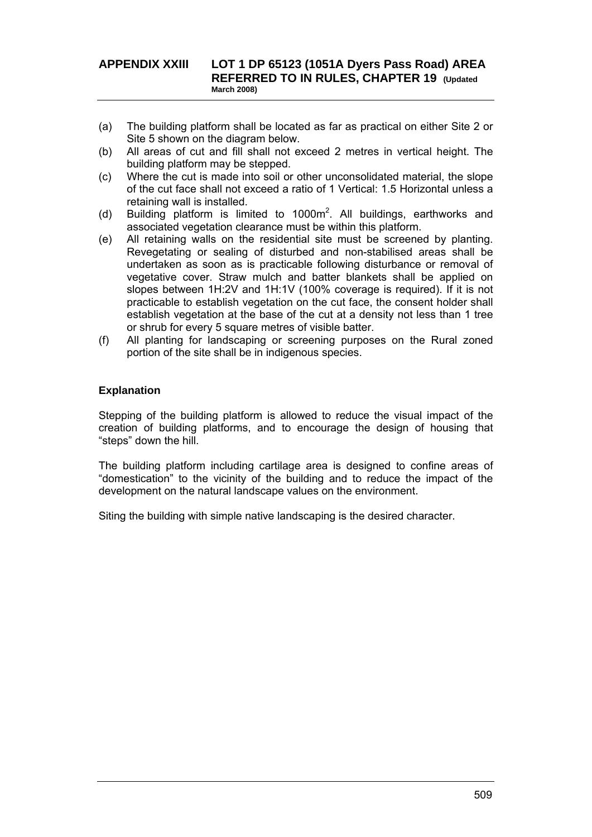## **APPENDIX XXIII LOT 1 DP 65123 (1051A Dyers Pass Road) AREA REFERRED TO IN RULES, CHAPTER 19 (Updated March 2008)**

- (a) The building platform shall be located as far as practical on either Site 2 or Site 5 shown on the diagram below.
- (b) All areas of cut and fill shall not exceed 2 metres in vertical height. The building platform may be stepped.
- (c) Where the cut is made into soil or other unconsolidated material, the slope of the cut face shall not exceed a ratio of 1 Vertical: 1.5 Horizontal unless a retaining wall is installed.
- (d) Building platform is limited to  $1000m^2$ . All buildings, earthworks and associated vegetation clearance must be within this platform.
- (e) All retaining walls on the residential site must be screened by planting. Revegetating or sealing of disturbed and non-stabilised areas shall be undertaken as soon as is practicable following disturbance or removal of vegetative cover. Straw mulch and batter blankets shall be applied on slopes between 1H:2V and 1H:1V (100% coverage is required). If it is not practicable to establish vegetation on the cut face, the consent holder shall establish vegetation at the base of the cut at a density not less than 1 tree or shrub for every 5 square metres of visible batter.
- (f) All planting for landscaping or screening purposes on the Rural zoned portion of the site shall be in indigenous species.

## **Explanation**

Stepping of the building platform is allowed to reduce the visual impact of the creation of building platforms, and to encourage the design of housing that "steps" down the hill.

The building platform including cartilage area is designed to confine areas of "domestication" to the vicinity of the building and to reduce the impact of the development on the natural landscape values on the environment.

Siting the building with simple native landscaping is the desired character.